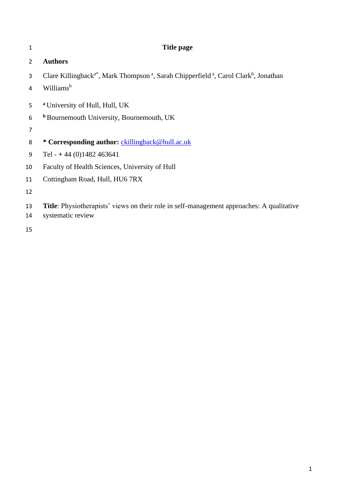| 1              | Title page                                                                                                                           |
|----------------|--------------------------------------------------------------------------------------------------------------------------------------|
| $\overline{2}$ | <b>Authors</b>                                                                                                                       |
| 3              | Clare Killingback <sup>a*</sup> , Mark Thompson <sup>a</sup> , Sarah Chipperfield <sup>a</sup> , Carol Clark <sup>b</sup> , Jonathan |
| 4              | Williams <sup>b</sup>                                                                                                                |
| 5              | <sup>a</sup> University of Hull, Hull, UK                                                                                            |
| 6              | <b>b</b> Bournemouth University, Bournemouth, UK                                                                                     |
| 7              |                                                                                                                                      |
| 8              | * Corresponding author: ckillingback@hull.ac.uk                                                                                      |
| 9              | Tel - $+ 44 (0)1482 463641$                                                                                                          |
| 10             | Faculty of Health Sciences, University of Hull                                                                                       |
| 11             | Cottingham Road, Hull, HU6 7RX                                                                                                       |
| 12             |                                                                                                                                      |
| 13<br>14       | <b>Title:</b> Physiotherapists' views on their role in self-management approaches: A qualitative<br>systematic review                |
| 15             |                                                                                                                                      |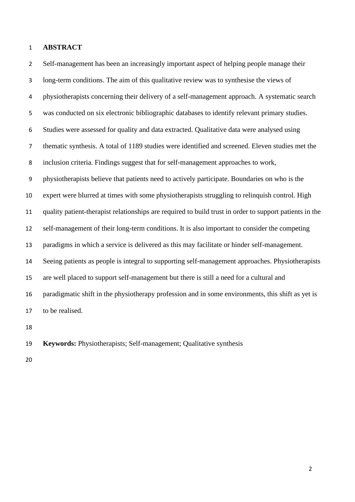#### **ABSTRACT**

 Self-management has been an increasingly important aspect of helping people manage their long-term conditions. The aim of this qualitative review was to synthesise the views of physiotherapists concerning their delivery of a self-management approach. A systematic search was conducted on six electronic bibliographic databases to identify relevant primary studies. Studies were assessed for quality and data extracted. Qualitative data were analysed using thematic synthesis. A total of 1189 studies were identified and screened. Eleven studies met the inclusion criteria. Findings suggest that for self-management approaches to work, physiotherapists believe that patients need to actively participate. Boundaries on who is the expert were blurred at times with some physiotherapists struggling to relinquish control. High quality patient-therapist relationships are required to build trust in order to support patients in the self-management of their long-term conditions. It is also important to consider the competing paradigms in which a service is delivered as this may facilitate or hinder self-management. Seeing patients as people is integral to supporting self-management approaches. Physiotherapists are well placed to support self-management but there is still a need for a cultural and paradigmatic shift in the physiotherapy profession and in some environments, this shift as yet is to be realised.

**Keywords:** Physiotherapists; Self-management; Qualitative synthesis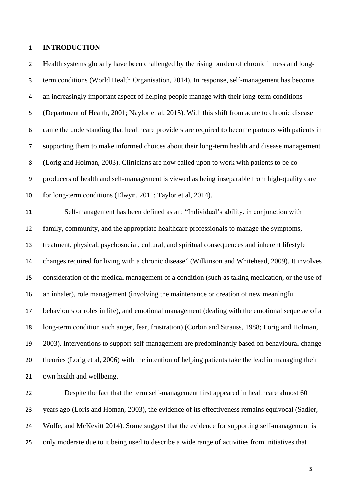#### **INTRODUCTION**

 Health systems globally have been challenged by the rising burden of chronic illness and long- term conditions (World Health Organisation, 2014). In response, self-management has become an increasingly important aspect of helping people manage with their long-term conditions (Department of Health, 2001; Naylor et al, 2015). With this shift from acute to chronic disease came the understanding that healthcare providers are required to become partners with patients in supporting them to make informed choices about their long-term health and disease management (Lorig and Holman, 2003). Clinicians are now called upon to work with patients to be co- producers of health and self-management is viewed as being inseparable from high-quality care for long-term conditions (Elwyn, 2011; Taylor et al, 2014). Self-management has been defined as an: "Individual's ability, in conjunction with family, community, and the appropriate healthcare professionals to manage the symptoms, treatment, physical, psychosocial, cultural, and spiritual consequences and inherent lifestyle changes required for living with a chronic disease" (Wilkinson and Whitehead, 2009). It involves consideration of the medical management of a condition (such as taking medication, or the use of an inhaler), role management (involving the maintenance or creation of new meaningful behaviours or roles in life), and emotional management (dealing with the emotional sequelae of a long-term condition such anger, fear, frustration) (Corbin and Strauss, 1988; Lorig and Holman, 2003). Interventions to support self-management are predominantly based on behavioural change theories (Lorig et al, 2006) with the intention of helping patients take the lead in managing their own health and wellbeing.

 Despite the fact that the term self-management first appeared in healthcare almost 60 years ago (Loris and Homan, 2003), the evidence of its effectiveness remains equivocal (Sadler, Wolfe, and McKevitt 2014). Some suggest that the evidence for supporting self-management is only moderate due to it being used to describe a wide range of activities from initiatives that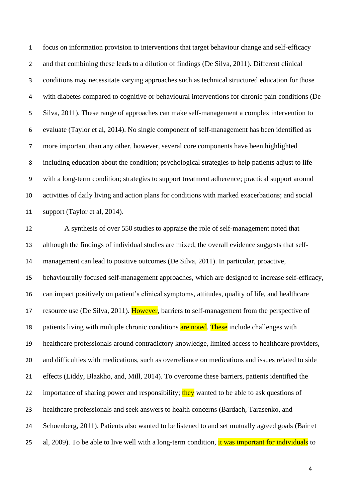focus on information provision to interventions that target behaviour change and self-efficacy and that combining these leads to a dilution of findings (De Silva, 2011). Different clinical conditions may necessitate varying approaches such as technical structured education for those with diabetes compared to cognitive or behavioural interventions for chronic pain conditions (De Silva, 2011). These range of approaches can make self-management a complex intervention to evaluate (Taylor et al, 2014). No single component of self-management has been identified as more important than any other, however, several core components have been highlighted including education about the condition; psychological strategies to help patients adjust to life with a long-term condition; strategies to support treatment adherence; practical support around activities of daily living and action plans for conditions with marked exacerbations; and social support (Taylor et al, 2014).

 A synthesis of over 550 studies to appraise the role of self-management noted that although the findings of individual studies are mixed, the overall evidence suggests that self- management can lead to positive outcomes (De Silva, 2011). In particular, proactive, behaviourally focused self-management approaches, which are designed to increase self-efficacy, can impact positively on patient's clinical symptoms, attitudes, quality of life, and healthcare 17 resource use (De Silva, 2011). However, barriers to self-management from the perspective of 18 patients living with multiple chronic conditions are noted. These include challenges with healthcare professionals around contradictory knowledge, limited access to healthcare providers, and difficulties with medications, such as overreliance on medications and issues related to side effects (Liddy, Blazkho, and, Mill, 2014). To overcome these barriers, patients identified the 22 importance of sharing power and responsibility; they wanted to be able to ask questions of healthcare professionals and seek answers to health concerns (Bardach, Tarasenko, and Schoenberg, 2011). Patients also wanted to be listened to and set mutually agreed goals (Bair et 25 al, 2009). To be able to live well with a long-term condition, it was important for individuals to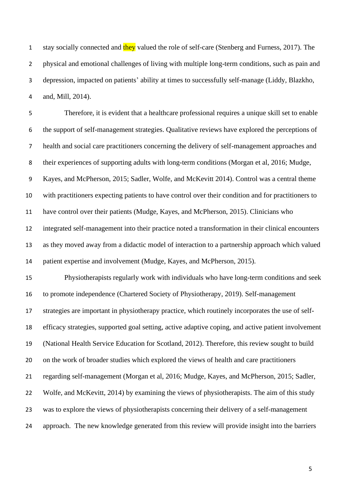1 stay socially connected and they valued the role of self-care (Stenberg and Furness, 2017). The physical and emotional challenges of living with multiple long-term conditions, such as pain and depression, impacted on patients' ability at times to successfully self-manage (Liddy, Blazkho, and, Mill, 2014).

 Therefore, it is evident that a healthcare professional requires a unique skill set to enable the support of self-management strategies. Qualitative reviews have explored the perceptions of health and social care practitioners concerning the delivery of self-management approaches and their experiences of supporting adults with long-term conditions (Morgan et al, 2016; Mudge, Kayes, and McPherson, 2015; Sadler, Wolfe, and McKevitt 2014). Control was a central theme with practitioners expecting patients to have control over their condition and for practitioners to have control over their patients (Mudge, Kayes, and McPherson, 2015). Clinicians who integrated self-management into their practice noted a transformation in their clinical encounters as they moved away from a didactic model of interaction to a partnership approach which valued patient expertise and involvement (Mudge, Kayes, and McPherson, 2015). Physiotherapists regularly work with individuals who have long-term conditions and seek to promote independence (Chartered Society of Physiotherapy, 2019). Self-management strategies are important in physiotherapy practice, which routinely incorporates the use of self- efficacy strategies, supported goal setting, active adaptive coping, and active patient involvement (National Health Service Education for Scotland, 2012). Therefore, this review sought to build on the work of broader studies which explored the views of health and care practitioners regarding self-management (Morgan et al, 2016; Mudge, Kayes, and McPherson, 2015; Sadler, Wolfe, and McKevitt, 2014) by examining the views of physiotherapists. The aim of this study was to explore the views of physiotherapists concerning their delivery of a self-management approach. The new knowledge generated from this review will provide insight into the barriers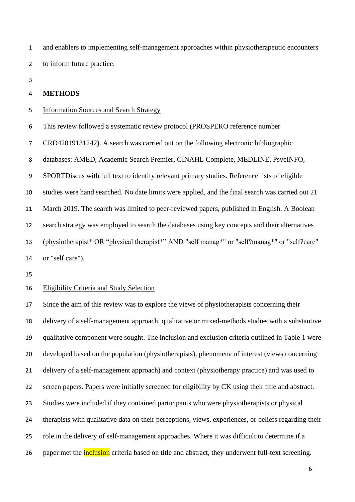and enablers to implementing self-management approaches within physiotherapeutic encounters to inform future practice.

#### **METHODS**

#### Information Sources and Search Strategy

This review followed a systematic review protocol (PROSPERO reference number

CRD42019131242). A search was carried out on the following electronic bibliographic

databases: AMED, Academic Search Premier, CINAHL Complete, MEDLINE, PsycINFO,

SPORTDiscus with full text to identify relevant primary studies. Reference lists of eligible

studies were hand searched. No date limits were applied, and the final search was carried out 21

March 2019. The search was limited to peer-reviewed papers, published in English. A Boolean

search strategy was employed to search the databases using key concepts and their alternatives

 (physiotherapist\* OR "physical therapist\*" AND "self manag\*" or "self?manag\*" or "self?care" or "self care").

#### Eligibility Criteria and Study Selection

 Since the aim of this review was to explore the views of physiotherapists concerning their delivery of a self-management approach, qualitative or mixed-methods studies with a substantive qualitative component were sought. The inclusion and exclusion criteria outlined in Table 1 were developed based on the population (physiotherapists), phenomena of interest (views concerning delivery of a self-management approach) and context (physiotherapy practice) and was used to screen papers. Papers were initially screened for eligibility by CK using their title and abstract. Studies were included if they contained participants who were physiotherapists or physical therapists with qualitative data on their perceptions, views, experiences, or beliefs regarding their role in the delivery of self-management approaches. Where it was difficult to determine if a 26 paper met the **inclusion** criteria based on title and abstract, they underwent full-text screening.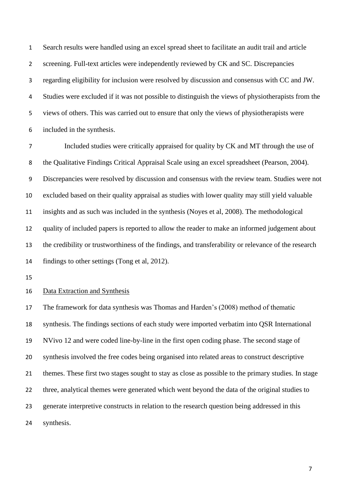Search results were handled using an excel spread sheet to facilitate an audit trail and article screening. Full-text articles were independently reviewed by CK and SC. Discrepancies regarding eligibility for inclusion were resolved by discussion and consensus with CC and JW. Studies were excluded if it was not possible to distinguish the views of physiotherapists from the views of others. This was carried out to ensure that only the views of physiotherapists were included in the synthesis.

 Included studies were critically appraised for quality by CK and MT through the use of the Qualitative Findings Critical Appraisal Scale using an excel spreadsheet (Pearson, 2004). Discrepancies were resolved by discussion and consensus with the review team. Studies were not excluded based on their quality appraisal as studies with lower quality may still yield valuable insights and as such was included in the synthesis (Noyes et al, 2008). The methodological quality of included papers is reported to allow the reader to make an informed judgement about the credibility or trustworthiness of the findings, and transferability or relevance of the research findings to other settings (Tong et al, 2012).

#### Data Extraction and Synthesis

 The framework for data synthesis was Thomas and Harden's (2008) method of thematic synthesis. The findings sections of each study were imported verbatim into QSR International NVivo 12 and were coded line-by-line in the first open coding phase. The second stage of synthesis involved the free codes being organised into related areas to construct descriptive themes. These first two stages sought to stay as close as possible to the primary studies. In stage three, analytical themes were generated which went beyond the data of the original studies to generate interpretive constructs in relation to the research question being addressed in this synthesis.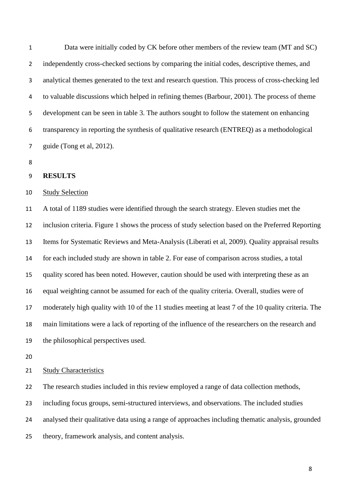Data were initially coded by CK before other members of the review team (MT and SC) 2 independently cross-checked sections by comparing the initial codes, descriptive themes, and analytical themes generated to the text and research question. This process of cross-checking led to valuable discussions which helped in refining themes (Barbour, 2001). The process of theme development can be seen in table 3. The authors sought to follow the statement on enhancing transparency in reporting the synthesis of qualitative research (ENTREQ) as a methodological guide (Tong et al, 2012).

#### **RESULTS**

#### Study Selection

 A total of 1189 studies were identified through the search strategy. Eleven studies met the inclusion criteria. Figure 1 shows the process of study selection based on the Preferred Reporting Items for Systematic Reviews and Meta-Analysis (Liberati et al, 2009). Quality appraisal results for each included study are shown in table 2. For ease of comparison across studies, a total quality scored has been noted. However, caution should be used with interpreting these as an equal weighting cannot be assumed for each of the quality criteria. Overall, studies were of moderately high quality with 10 of the 11 studies meeting at least 7 of the 10 quality criteria. The main limitations were a lack of reporting of the influence of the researchers on the research and the philosophical perspectives used.

### 21 Study Characteristics

The research studies included in this review employed a range of data collection methods,

including focus groups, semi-structured interviews, and observations. The included studies

analysed their qualitative data using a range of approaches including thematic analysis, grounded

theory, framework analysis, and content analysis.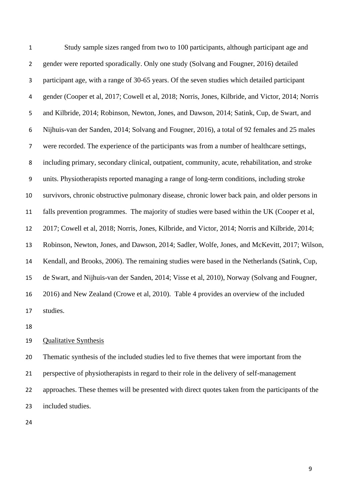Study sample sizes ranged from two to 100 participants, although participant age and gender were reported sporadically. Only one study (Solvang and Fougner, 2016) detailed participant age, with a range of 30-65 years. Of the seven studies which detailed participant gender (Cooper et al, 2017; Cowell et al, 2018; Norris, Jones, Kilbride, and Victor, 2014; Norris and Kilbride, 2014; Robinson, Newton, Jones, and Dawson, 2014; Satink, Cup, de Swart, and Nijhuis-van der Sanden, 2014; Solvang and Fougner, 2016), a total of 92 females and 25 males were recorded. The experience of the participants was from a number of healthcare settings, including primary, secondary clinical, outpatient, community, acute, rehabilitation, and stroke units. Physiotherapists reported managing a range of long-term conditions, including stroke survivors, chronic obstructive pulmonary disease, chronic lower back pain, and older persons in falls prevention programmes. The majority of studies were based within the UK (Cooper et al, 2017; Cowell et al, 2018; Norris, Jones, Kilbride, and Victor, 2014; Norris and Kilbride, 2014; Robinson, Newton, Jones, and Dawson, 2014; Sadler, Wolfe, Jones, and McKevitt, 2017; Wilson, Kendall, and Brooks, 2006). The remaining studies were based in the Netherlands (Satink, Cup, de Swart, and Nijhuis-van der Sanden, 2014; Visse et al, 2010), Norway (Solvang and Fougner, 2016) and New Zealand (Crowe et al, 2010). Table 4 provides an overview of the included studies.

#### Qualitative Synthesis

 Thematic synthesis of the included studies led to five themes that were important from the perspective of physiotherapists in regard to their role in the delivery of self-management approaches. These themes will be presented with direct quotes taken from the participants of the included studies.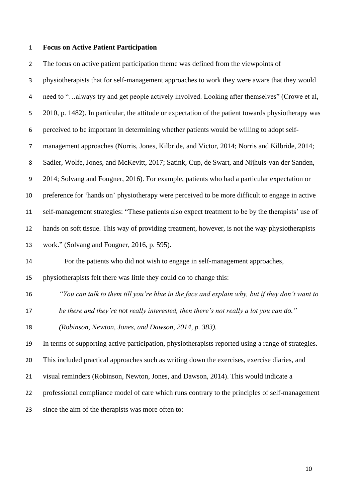# **Focus on Active Patient Participation**

| $\overline{2}$   | The focus on active patient participation theme was defined from the viewpoints of                  |
|------------------|-----------------------------------------------------------------------------------------------------|
| 3                | physiotherapists that for self-management approaches to work they were aware that they would        |
| 4                | need to "always try and get people actively involved. Looking after themselves" (Crowe et al,       |
| 5                | 2010, p. 1482). In particular, the attitude or expectation of the patient towards physiotherapy was |
| 6                | perceived to be important in determining whether patients would be willing to adopt self-           |
| $\overline{7}$   | management approaches (Norris, Jones, Kilbride, and Victor, 2014; Norris and Kilbride, 2014;        |
| 8                | Sadler, Wolfe, Jones, and McKevitt, 2017; Satink, Cup, de Swart, and Nijhuis-van der Sanden,        |
| $\boldsymbol{9}$ | 2014; Solvang and Fougner, 2016). For example, patients who had a particular expectation or         |
| 10               | preference for 'hands on' physiotherapy were perceived to be more difficult to engage in active     |
| 11               | self-management strategies: "These patients also expect treatment to be by the therapists' use of   |
| 12               | hands on soft tissue. This way of providing treatment, however, is not the way physiotherapists     |
| 13               | work." (Solvang and Fougner, 2016, p. 595).                                                         |
| 14               | For the patients who did not wish to engage in self-management approaches,                          |
| 15               | physiotherapists felt there was little they could do to change this:                                |
| 16               | "You can talk to them till you're blue in the face and explain why, but if they don't want to       |
| 17               | be there and they're not really interested, then there's not really a lot you can do."              |
| 18               | (Robinson, Newton, Jones, and Dawson, 2014, p. 383).                                                |
| 19               | In terms of supporting active participation, physiotherapists reported using a range of strategies. |
| 20               | This included practical approaches such as writing down the exercises, exercise diaries, and        |
| 21               | visual reminders (Robinson, Newton, Jones, and Dawson, 2014). This would indicate a                 |
| 22               | professional compliance model of care which runs contrary to the principles of self-management      |
| 23               | since the aim of the therapists was more often to:                                                  |
|                  |                                                                                                     |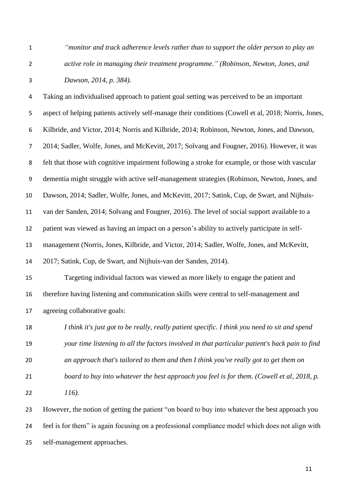*"monitor and track adherence levels rather than to support the older person to play an active role in managing their treatment programme." (Robinson, Newton, Jones, and Dawson, 2014, p. 384).* 

 Taking an individualised approach to patient goal setting was perceived to be an important aspect of helping patients actively self-manage their conditions (Cowell et al, 2018; Norris, Jones, Kilbride, and Victor, 2014; Norris and Kilbride, 2014; Robinson, Newton, Jones, and Dawson, 2014; Sadler, Wolfe, Jones, and McKevitt, 2017; Solvang and Fougner, 2016). However, it was felt that those with cognitive impairment following a stroke for example, or those with vascular dementia might struggle with active self-management strategies (Robinson, Newton, Jones, and Dawson, 2014; Sadler, Wolfe, Jones, and McKevitt, 2017; Satink, Cup, de Swart, and Nijhuis- van der Sanden, 2014; Solvang and Fougner, 2016). The level of social support available to a patient was viewed as having an impact on a person's ability to actively participate in self- management (Norris, Jones, Kilbride, and Victor, 2014; Sadler, Wolfe, Jones, and McKevitt, 2017; Satink, Cup, de Swart, and Nijhuis-van der Sanden, 2014). Targeting individual factors was viewed as more likely to engage the patient and therefore having listening and communication skills were central to self-management and agreeing collaborative goals: *I think it's just got to be really, really patient specific. I think you need to sit and spend your time listening to all the factors involved in that particular patient's back pain to find an approach that's tailored to them and then I think you've really got to get them on board to buy into whatever the best approach you feel is for them. (Cowell et al, 2018, p. 116).* However, the notion of getting the patient "on board to buy into whatever the best approach you

 feel is for them" is again focusing on a professional compliance model which does not align with self-management approaches.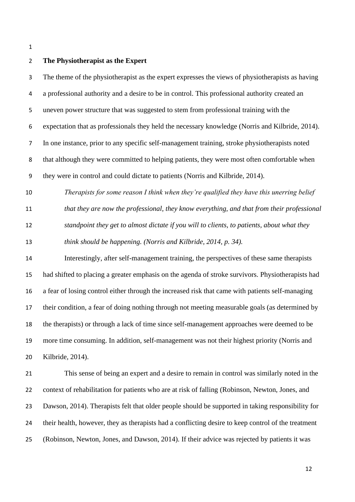#### **The Physiotherapist as the Expert**

 The theme of the physiotherapist as the expert expresses the views of physiotherapists as having a professional authority and a desire to be in control. This professional authority created an uneven power structure that was suggested to stem from professional training with the expectation that as professionals they held the necessary knowledge (Norris and Kilbride, 2014). In one instance, prior to any specific self-management training, stroke physiotherapists noted that although they were committed to helping patients, they were most often comfortable when they were in control and could dictate to patients (Norris and Kilbride, 2014).

*Therapists for some reason I think when they're qualified they have this unerring belief* 

 *that they are now the professional, they know everything, and that from their professional standpoint they get to almost dictate if you will to clients, to patients, about what they think should be happening. (Norris and Kilbride, 2014, p. 34).*

 Interestingly, after self-management training, the perspectives of these same therapists had shifted to placing a greater emphasis on the agenda of stroke survivors. Physiotherapists had a fear of losing control either through the increased risk that came with patients self-managing their condition, a fear of doing nothing through not meeting measurable goals (as determined by the therapists) or through a lack of time since self-management approaches were deemed to be more time consuming. In addition, self-management was not their highest priority (Norris and Kilbride, 2014).

 This sense of being an expert and a desire to remain in control was similarly noted in the context of rehabilitation for patients who are at risk of falling (Robinson, Newton, Jones, and Dawson, 2014). Therapists felt that older people should be supported in taking responsibility for their health, however, they as therapists had a conflicting desire to keep control of the treatment (Robinson, Newton, Jones, and Dawson, 2014). If their advice was rejected by patients it was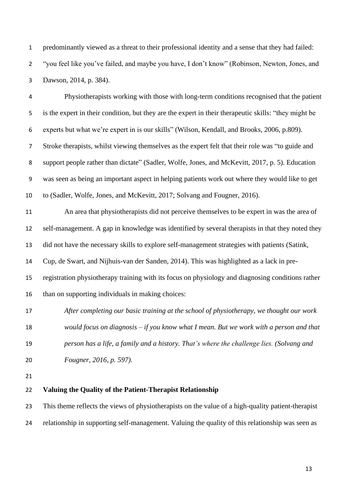predominantly viewed as a threat to their professional identity and a sense that they had failed: "you feel like you've failed, and maybe you have, I don't know" (Robinson, Newton, Jones, and Dawson, 2014, p. 384).

 Physiotherapists working with those with long-term conditions recognised that the patient is the expert in their condition, but they are the expert in their therapeutic skills: "they might be experts but what we're expert in is our skills" (Wilson, Kendall, and Brooks, 2006, p.809). Stroke therapists, whilst viewing themselves as the expert felt that their role was "to guide and support people rather than dictate" (Sadler, Wolfe, Jones, and McKevitt, 2017, p. 5). Education was seen as being an important aspect in helping patients work out where they would like to get to (Sadler, Wolfe, Jones, and McKevitt, 2017; Solvang and Fougner, 2016). An area that physiotherapists did not perceive themselves to be expert in was the area of self-management. A gap in knowledge was identified by several therapists in that they noted they did not have the necessary skills to explore self-management strategies with patients (Satink, Cup, de Swart, and Nijhuis-van der Sanden, 2014). This was highlighted as a lack in pre- registration physiotherapy training with its focus on physiology and diagnosing conditions rather than on supporting individuals in making choices: *After completing our basic training at the school of physiotherapy, we thought our work would focus on diagnosis – if you know what I mean. But we work with a person and that* 

 *person has a life, a family and a history. That's where the challenge lies. (Solvang and Fougner, 2016, p. 597).*

### **Valuing the Quality of the Patient-Therapist Relationship**

 This theme reflects the views of physiotherapists on the value of a high-quality patient-therapist relationship in supporting self-management. Valuing the quality of this relationship was seen as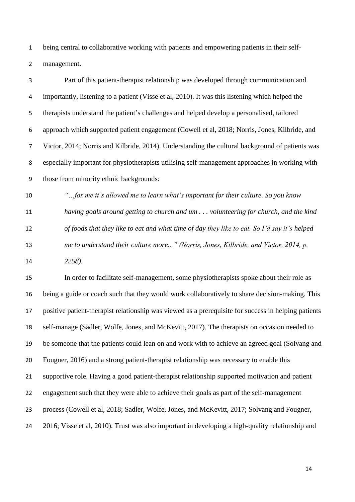being central to collaborative working with patients and empowering patients in their self-management.

| 3  | Part of this patient-therapist relationship was developed through communication and             |
|----|-------------------------------------------------------------------------------------------------|
| 4  | importantly, listening to a patient (Visse et al, 2010). It was this listening which helped the |
| 5. | therapists understand the patient's challenges and helped develop a personalised, tailored      |
| 6  | approach which supported patient engagement (Cowell et al, 2018; Norris, Jones, Kilbride, and   |
| 7  | Victor, 2014; Norris and Kilbride, 2014). Understanding the cultural background of patients was |
| 8  | especially important for physiotherapists utilising self-management approaches in working with  |
| 9  | those from minority ethnic backgrounds:                                                         |
| 10 | "for me it's allowed me to learn what's important for their culture. So you know                |

 *having goals around getting to church and um . . . volunteering for church, and the kind of foods that they like to eat and what time of day they like to eat. So I'd say it's helped me to understand their culture more..." (Norris, Jones, Kilbride, and Victor, 2014, p. 2258).*

 In order to facilitate self-management, some physiotherapists spoke about their role as being a guide or coach such that they would work collaboratively to share decision-making. This positive patient-therapist relationship was viewed as a prerequisite for success in helping patients self-manage (Sadler, Wolfe, Jones, and McKevitt, 2017). The therapists on occasion needed to be someone that the patients could lean on and work with to achieve an agreed goal (Solvang and Fougner, 2016) and a strong patient-therapist relationship was necessary to enable this supportive role. Having a good patient-therapist relationship supported motivation and patient engagement such that they were able to achieve their goals as part of the self-management process (Cowell et al, 2018; Sadler, Wolfe, Jones, and McKevitt, 2017; Solvang and Fougner, 2016; Visse et al, 2010). Trust was also important in developing a high-quality relationship and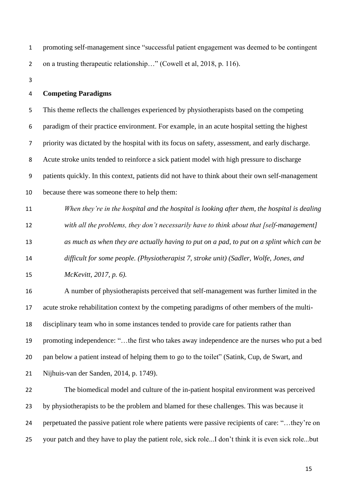| promoting self-management since "successful patient engagement was deemed to be contingent |
|--------------------------------------------------------------------------------------------|
| on a trusting therapeutic relationship" (Cowell et al, 2018, p. 116).                      |

#### **Competing Paradigms**

 This theme reflects the challenges experienced by physiotherapists based on the competing paradigm of their practice environment. For example, in an acute hospital setting the highest priority was dictated by the hospital with its focus on safety, assessment, and early discharge. Acute stroke units tended to reinforce a sick patient model with high pressure to discharge patients quickly. In this context, patients did not have to think about their own self-management because there was someone there to help them:

 *When they're in the hospital and the hospital is looking after them, the hospital is dealing with all the problems, they don't necessarily have to think about that [self-management] as much as when they are actually having to put on a pad, to put on a splint which can be difficult for some people. (Physiotherapist 7, stroke unit) (Sadler, Wolfe, Jones, and* 

*McKevitt, 2017, p. 6).* 

 A number of physiotherapists perceived that self-management was further limited in the acute stroke rehabilitation context by the competing paradigms of other members of the multi- disciplinary team who in some instances tended to provide care for patients rather than promoting independence: "…the first who takes away independence are the nurses who put a bed pan below a patient instead of helping them to go to the toilet" (Satink, Cup, de Swart, and Nijhuis-van der Sanden, 2014, p. 1749).

 The biomedical model and culture of the in-patient hospital environment was perceived by physiotherapists to be the problem and blamed for these challenges. This was because it perpetuated the passive patient role where patients were passive recipients of care: "…they're on your patch and they have to play the patient role, sick role...I don't think it is even sick role...but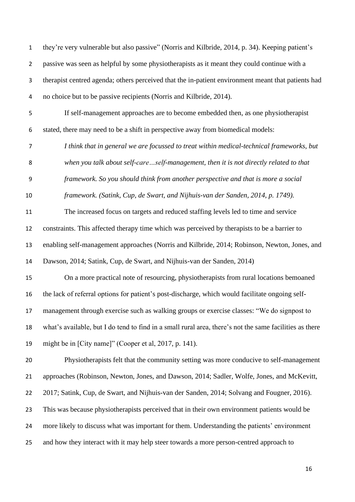they're very vulnerable but also passive" (Norris and Kilbride, 2014, p. 34). Keeping patient's passive was seen as helpful by some physiotherapists as it meant they could continue with a therapist centred agenda; others perceived that the in-patient environment meant that patients had no choice but to be passive recipients (Norris and Kilbride, 2014).

 If self-management approaches are to become embedded then, as one physiotherapist stated, there may need to be a shift in perspective away from biomedical models:

 *I think that in general we are focussed to treat within medical-technical frameworks, but when you talk about self-care…self-management, then it is not directly related to that* 

*framework. So you should think from another perspective and that is more a social* 

*framework. (Satink, Cup, de Swart, and Nijhuis-van der Sanden, 2014, p. 1749).* 

 The increased focus on targets and reduced staffing levels led to time and service constraints. This affected therapy time which was perceived by therapists to be a barrier to

enabling self-management approaches (Norris and Kilbride, 2014; Robinson, Newton, Jones, and

Dawson, 2014; Satink, Cup, de Swart, and Nijhuis-van der Sanden, 2014)

 On a more practical note of resourcing, physiotherapists from rural locations bemoaned the lack of referral options for patient's post-discharge, which would facilitate ongoing self-

management through exercise such as walking groups or exercise classes: "We do signpost to

what's available, but I do tend to find in a small rural area, there's not the same facilities as there

might be in [City name]" (Cooper et al, 2017, p. 141).

 Physiotherapists felt that the community setting was more conducive to self-management approaches (Robinson, Newton, Jones, and Dawson, 2014; Sadler, Wolfe, Jones, and McKevitt, 2017; Satink, Cup, de Swart, and Nijhuis-van der Sanden, 2014; Solvang and Fougner, 2016). This was because physiotherapists perceived that in their own environment patients would be more likely to discuss what was important for them. Understanding the patients' environment and how they interact with it may help steer towards a more person-centred approach to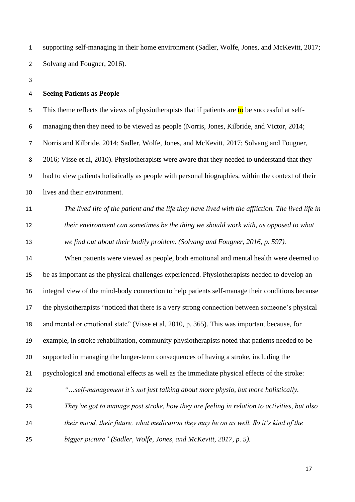supporting self-managing in their home environment (Sadler, Wolfe, Jones, and McKevitt, 2017; 2 Solvang and Fougner, 2016).

#### **Seeing Patients as People**

5 This theme reflects the views of physiotherapists that if patients are  $\frac{1}{10}$  be successful at self- managing then they need to be viewed as people (Norris, Jones, Kilbride, and Victor, 2014; Norris and Kilbride, 2014; Sadler, Wolfe, Jones, and McKevitt, 2017; Solvang and Fougner, 2016; Visse et al, 2010). Physiotherapists were aware that they needed to understand that they had to view patients holistically as people with personal biographies, within the context of their lives and their environment.

 *The lived life of the patient and the life they have lived with the affliction. The lived life in their environment can sometimes be the thing we should work with, as opposed to what we find out about their bodily problem. (Solvang and Fougner, 2016, p. 597).*

 When patients were viewed as people, both emotional and mental health were deemed to be as important as the physical challenges experienced. Physiotherapists needed to develop an integral view of the mind-body connection to help patients self-manage their conditions because the physiotherapists "noticed that there is a very strong connection between someone's physical and mental or emotional state" (Visse et al, 2010, p. 365). This was important because, for example, in stroke rehabilitation, community physiotherapists noted that patients needed to be supported in managing the longer-term consequences of having a stroke, including the psychological and emotional effects as well as the immediate physical effects of the stroke: *"…self-management it's not just talking about more physio, but more holistically. They've got to manage post stroke, how they are feeling in relation to activities, but also their mood, their future, what medication they may be on as well. So it's kind of the bigger picture" (Sadler, Wolfe, Jones, and McKevitt, 2017, p. 5).*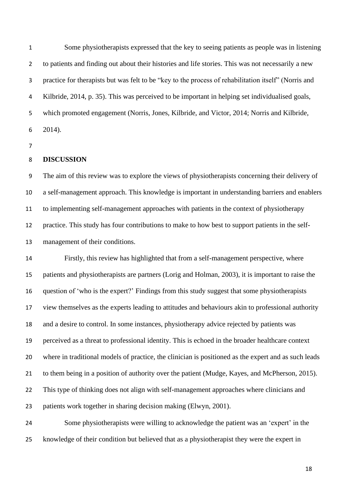Some physiotherapists expressed that the key to seeing patients as people was in listening to patients and finding out about their histories and life stories. This was not necessarily a new practice for therapists but was felt to be "key to the process of rehabilitation itself" (Norris and Kilbride, 2014, p. 35). This was perceived to be important in helping set individualised goals, which promoted engagement (Norris, Jones, Kilbride, and Victor, 2014; Norris and Kilbride, 2014).

#### **DISCUSSION**

 The aim of this review was to explore the views of physiotherapists concerning their delivery of a self-management approach. This knowledge is important in understanding barriers and enablers to implementing self-management approaches with patients in the context of physiotherapy practice. This study has four contributions to make to how best to support patients in the self-management of their conditions.

 Firstly, this review has highlighted that from a self-management perspective, where patients and physiotherapists are partners (Lorig and Holman, 2003), it is important to raise the question of 'who is the expert?' Findings from this study suggest that some physiotherapists view themselves as the experts leading to attitudes and behaviours akin to professional authority and a desire to control. In some instances, physiotherapy advice rejected by patients was perceived as a threat to professional identity. This is echoed in the broader healthcare context where in traditional models of practice, the clinician is positioned as the expert and as such leads to them being in a position of authority over the patient (Mudge, Kayes, and McPherson, 2015). This type of thinking does not align with self-management approaches where clinicians and patients work together in sharing decision making (Elwyn, 2001).

 Some physiotherapists were willing to acknowledge the patient was an 'expert' in the knowledge of their condition but believed that as a physiotherapist they were the expert in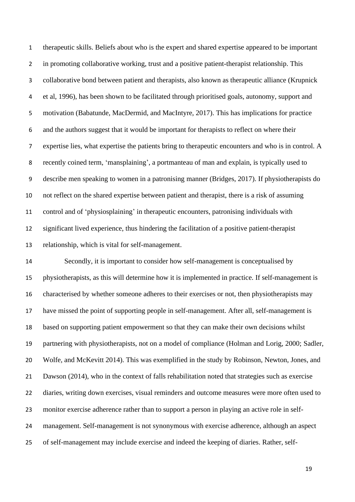therapeutic skills. Beliefs about who is the expert and shared expertise appeared to be important in promoting collaborative working, trust and a positive patient-therapist relationship. This collaborative bond between patient and therapists, also known as therapeutic alliance (Krupnick et al, 1996), has been shown to be facilitated through prioritised goals, autonomy, support and motivation (Babatunde, MacDermid, and MacIntyre, 2017). This has implications for practice and the authors suggest that it would be important for therapists to reflect on where their expertise lies, what expertise the patients bring to therapeutic encounters and who is in control. A recently coined term, 'mansplaining', a portmanteau of man and explain, is typically used to describe men speaking to women in a patronising manner (Bridges, 2017). If physiotherapists do not reflect on the shared expertise between patient and therapist, there is a risk of assuming control and of 'physiosplaining' in therapeutic encounters, patronising individuals with significant lived experience, thus hindering the facilitation of a positive patient-therapist relationship, which is vital for self-management.

 Secondly, it is important to consider how self-management is conceptualised by physiotherapists, as this will determine how it is implemented in practice. If self-management is characterised by whether someone adheres to their exercises or not, then physiotherapists may have missed the point of supporting people in self-management. After all, self-management is based on supporting patient empowerment so that they can make their own decisions whilst partnering with physiotherapists, not on a model of compliance (Holman and Lorig, 2000; Sadler, Wolfe, and McKevitt 2014). This was exemplified in the study by Robinson, Newton, Jones, and Dawson (2014), who in the context of falls rehabilitation noted that strategies such as exercise diaries, writing down exercises, visual reminders and outcome measures were more often used to monitor exercise adherence rather than to support a person in playing an active role in self- management. Self-management is not synonymous with exercise adherence, although an aspect of self-management may include exercise and indeed the keeping of diaries. Rather, self-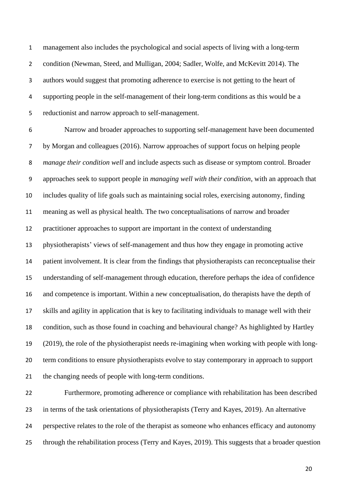management also includes the psychological and social aspects of living with a long-term condition (Newman, Steed, and Mulligan, 2004; Sadler, Wolfe, and McKevitt 2014). The authors would suggest that promoting adherence to exercise is not getting to the heart of supporting people in the self-management of their long-term conditions as this would be a reductionist and narrow approach to self-management.

 Narrow and broader approaches to supporting self-management have been documented by Morgan and colleagues (2016). Narrow approaches of support focus on helping people *manage their condition well* and include aspects such as disease or symptom control. Broader approaches seek to support people in *managing well with their condition*, with an approach that includes quality of life goals such as maintaining social roles, exercising autonomy, finding meaning as well as physical health. The two conceptualisations of narrow and broader practitioner approaches to support are important in the context of understanding physiotherapists' views of self-management and thus how they engage in promoting active patient involvement. It is clear from the findings that physiotherapists can reconceptualise their understanding of self-management through education, therefore perhaps the idea of confidence and competence is important. Within a new conceptualisation, do therapists have the depth of skills and agility in application that is key to facilitating individuals to manage well with their condition, such as those found in coaching and behavioural change? As highlighted by Hartley (2019), the role of the physiotherapist needs re-imagining when working with people with long- term conditions to ensure physiotherapists evolve to stay contemporary in approach to support the changing needs of people with long-term conditions.

 Furthermore, promoting adherence or compliance with rehabilitation has been described in terms of the task orientations of physiotherapists (Terry and Kayes, 2019). An alternative perspective relates to the role of the therapist as someone who enhances efficacy and autonomy through the rehabilitation process (Terry and Kayes, 2019). This suggests that a broader question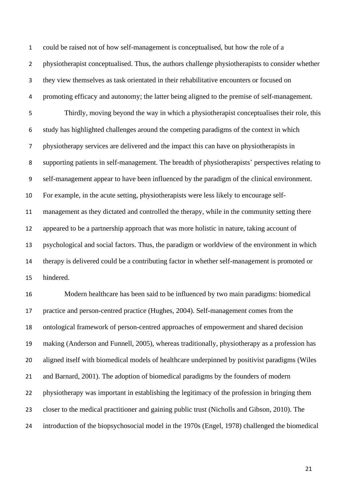could be raised not of how self-management is conceptualised, but how the role of a physiotherapist conceptualised. Thus, the authors challenge physiotherapists to consider whether they view themselves as task orientated in their rehabilitative encounters or focused on promoting efficacy and autonomy; the latter being aligned to the premise of self-management. Thirdly, moving beyond the way in which a physiotherapist conceptualises their role, this study has highlighted challenges around the competing paradigms of the context in which physiotherapy services are delivered and the impact this can have on physiotherapists in supporting patients in self-management. The breadth of physiotherapists' perspectives relating to self-management appear to have been influenced by the paradigm of the clinical environment. For example, in the acute setting, physiotherapists were less likely to encourage self- management as they dictated and controlled the therapy, while in the community setting there appeared to be a partnership approach that was more holistic in nature, taking account of psychological and social factors. Thus, the paradigm or worldview of the environment in which therapy is delivered could be a contributing factor in whether self-management is promoted or hindered. Modern healthcare has been said to be influenced by two main paradigms: biomedical practice and person-centred practice (Hughes, 2004). Self-management comes from the

ontological framework of person-centred approaches of empowerment and shared decision

making (Anderson and Funnell, 2005), whereas traditionally, physiotherapy as a profession has

aligned itself with biomedical models of healthcare underpinned by positivist paradigms (Wiles

and Barnard, 2001). The adoption of biomedical paradigms by the founders of modern

physiotherapy was important in establishing the legitimacy of the profession in bringing them

- closer to the medical practitioner and gaining public trust (Nicholls and Gibson, 2010). The
- introduction of the biopsychosocial model in the 1970s (Engel, 1978) challenged the biomedical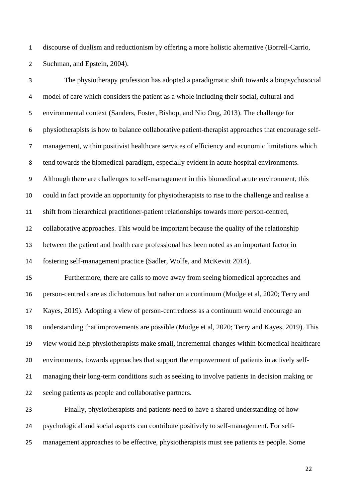discourse of dualism and reductionism by offering a more holistic alternative (Borrell-Carrio, Suchman, and Epstein, 2004).

 The physiotherapy profession has adopted a paradigmatic shift towards a biopsychosocial model of care which considers the patient as a whole including their social, cultural and environmental context (Sanders, Foster, Bishop, and Nio Ong, 2013). The challenge for physiotherapists is how to balance collaborative patient-therapist approaches that encourage self- management, within positivist healthcare services of efficiency and economic limitations which tend towards the biomedical paradigm, especially evident in acute hospital environments. Although there are challenges to self-management in this biomedical acute environment, this could in fact provide an opportunity for physiotherapists to rise to the challenge and realise a shift from hierarchical practitioner-patient relationships towards more person-centred, collaborative approaches. This would be important because the quality of the relationship between the patient and health care professional has been noted as an important factor in fostering self-management practice (Sadler, Wolfe, and McKevitt 2014). Furthermore, there are calls to move away from seeing biomedical approaches and person-centred care as dichotomous but rather on a continuum (Mudge et al, 2020; Terry and Kayes, 2019). Adopting a view of person-centredness as a continuum would encourage an understanding that improvements are possible (Mudge et al, 2020; Terry and Kayes, 2019). This view would help physiotherapists make small, incremental changes within biomedical healthcare environments, towards approaches that support the empowerment of patients in actively self- managing their long-term conditions such as seeking to involve patients in decision making or seeing patients as people and collaborative partners. Finally, physiotherapists and patients need to have a shared understanding of how

psychological and social aspects can contribute positively to self-management. For self-

management approaches to be effective, physiotherapists must see patients as people. Some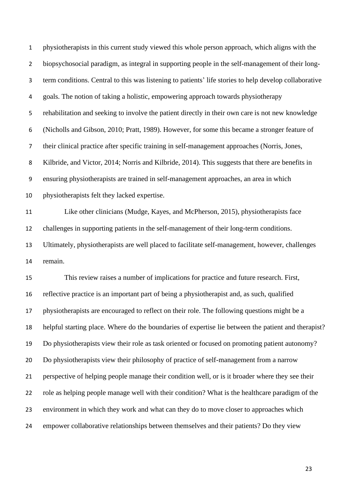physiotherapists in this current study viewed this whole person approach, which aligns with the biopsychosocial paradigm, as integral in supporting people in the self-management of their long- term conditions. Central to this was listening to patients' life stories to help develop collaborative goals. The notion of taking a holistic, empowering approach towards physiotherapy rehabilitation and seeking to involve the patient directly in their own care is not new knowledge (Nicholls and Gibson, 2010; Pratt, 1989). However, for some this became a stronger feature of their clinical practice after specific training in self-management approaches (Norris, Jones, Kilbride, and Victor, 2014; Norris and Kilbride, 2014). This suggests that there are benefits in ensuring physiotherapists are trained in self-management approaches, an area in which physiotherapists felt they lacked expertise. Like other clinicians (Mudge, Kayes, and McPherson, 2015), physiotherapists face challenges in supporting patients in the self-management of their long-term conditions. Ultimately, physiotherapists are well placed to facilitate self-management, however, challenges remain. This review raises a number of implications for practice and future research. First, reflective practice is an important part of being a physiotherapist and, as such, qualified physiotherapists are encouraged to reflect on their role. The following questions might be a helpful starting place. Where do the boundaries of expertise lie between the patient and therapist? Do physiotherapists view their role as task oriented or focused on promoting patient autonomy? Do physiotherapists view their philosophy of practice of self-management from a narrow perspective of helping people manage their condition well, or is it broader where they see their role as helping people manage well with their condition? What is the healthcare paradigm of the

 environment in which they work and what can they do to move closer to approaches which empower collaborative relationships between themselves and their patients? Do they view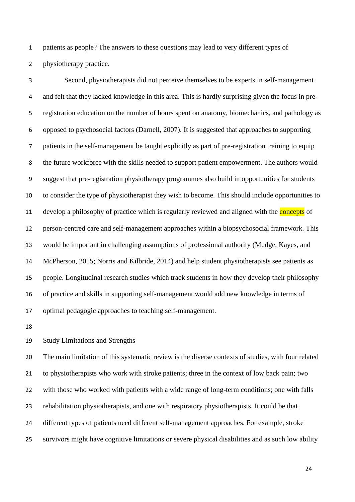patients as people? The answers to these questions may lead to very different types of physiotherapy practice.

 Second, physiotherapists did not perceive themselves to be experts in self-management and felt that they lacked knowledge in this area. This is hardly surprising given the focus in pre- registration education on the number of hours spent on anatomy, biomechanics, and pathology as opposed to psychosocial factors (Darnell, 2007). It is suggested that approaches to supporting patients in the self-management be taught explicitly as part of pre-registration training to equip the future workforce with the skills needed to support patient empowerment. The authors would suggest that pre-registration physiotherapy programmes also build in opportunities for students to consider the type of physiotherapist they wish to become. This should include opportunities to 11 develop a philosophy of practice which is regularly reviewed and aligned with the **concepts** of person-centred care and self-management approaches within a biopsychosocial framework. This would be important in challenging assumptions of professional authority (Mudge, Kayes, and McPherson, 2015; Norris and Kilbride, 2014) and help student physiotherapists see patients as people. Longitudinal research studies which track students in how they develop their philosophy of practice and skills in supporting self-management would add new knowledge in terms of optimal pedagogic approaches to teaching self-management.

#### Study Limitations and Strengths

 The main limitation of this systematic review is the diverse contexts of studies, with four related to physiotherapists who work with stroke patients; three in the context of low back pain; two with those who worked with patients with a wide range of long-term conditions; one with falls rehabilitation physiotherapists, and one with respiratory physiotherapists. It could be that different types of patients need different self-management approaches. For example, stroke survivors might have cognitive limitations or severe physical disabilities and as such low ability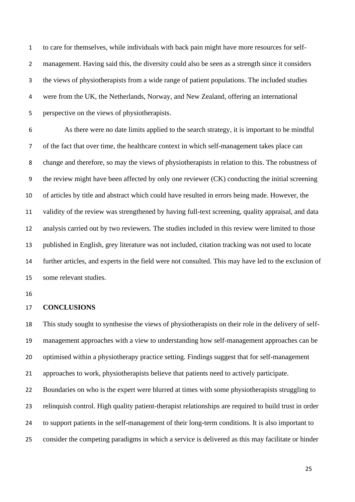to care for themselves, while individuals with back pain might have more resources for self- management. Having said this, the diversity could also be seen as a strength since it considers the views of physiotherapists from a wide range of patient populations. The included studies were from the UK, the Netherlands, Norway, and New Zealand, offering an international perspective on the views of physiotherapists.

 As there were no date limits applied to the search strategy, it is important to be mindful of the fact that over time, the healthcare context in which self-management takes place can change and therefore, so may the views of physiotherapists in relation to this. The robustness of the review might have been affected by only one reviewer (CK) conducting the initial screening of articles by title and abstract which could have resulted in errors being made. However, the validity of the review was strengthened by having full-text screening, quality appraisal, and data analysis carried out by two reviewers. The studies included in this review were limited to those published in English, grey literature was not included, citation tracking was not used to locate further articles, and experts in the field were not consulted. This may have led to the exclusion of some relevant studies.

#### **CONCLUSIONS**

 This study sought to synthesise the views of physiotherapists on their role in the delivery of self- management approaches with a view to understanding how self-management approaches can be optimised within a physiotherapy practice setting. Findings suggest that for self-management approaches to work, physiotherapists believe that patients need to actively participate.

 Boundaries on who is the expert were blurred at times with some physiotherapists struggling to relinquish control. High quality patient-therapist relationships are required to build trust in order to support patients in the self-management of their long-term conditions. It is also important to consider the competing paradigms in which a service is delivered as this may facilitate or hinder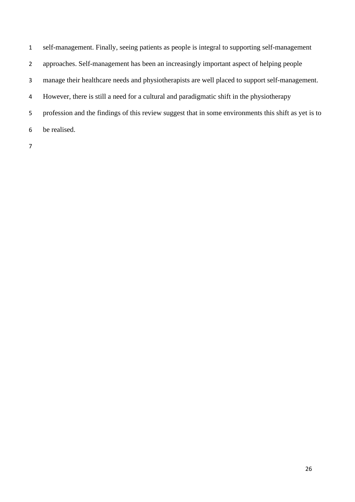self-management. Finally, seeing patients as people is integral to supporting self-management approaches. Self-management has been an increasingly important aspect of helping people manage their healthcare needs and physiotherapists are well placed to support self-management. However, there is still a need for a cultural and paradigmatic shift in the physiotherapy profession and the findings of this review suggest that in some environments this shift as yet is to be realised.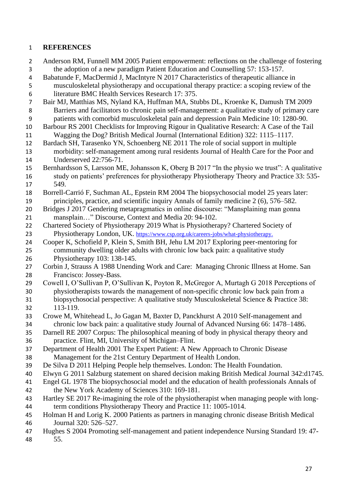## **REFERENCES**

 Anderson RM, Funnell MM 2005 Patient empowerment: reflections on the challenge of fostering the adoption of a new paradigm Patient Education and Counselling 57: 153-157. Babatunde F, MacDermid J, MacIntyre N 2017 Characteristics of therapeutic alliance in musculoskeletal physiotherapy and occupational therapy practice: a scoping review of the literature BMC Health Services Research 17: 375. Bair MJ, Matthias MS, Nyland KA, Huffman MA, Stubbs DL, Kroenke K, Damush TM 2009 Barriers and facilitators to chronic pain self-management: a qualitative study of primary care patients with comorbid musculoskeletal pain and depression Pain Medicine 10: 1280-90. Barbour RS 2001 Checklists for Improving Rigour in Qualitative Research: A Case of the Tail Wagging the Dog? British Medical Journal (International Edition) 322: 1115–1117. Bardach SH, Tarasenko YN, Schoenberg NE 2011 The role of social support in multiple morbidity: self-management among rural residents Journal of Health Care for the Poor and Underserved 22:756-71. Bernhardsson S, Larsson ME, Johansson K, Oberg B 2017 "In the physio we trust": A qualitative study on patients' preferences for physiotherapy Physiotherapy Theory and Practice 33: 535- 549. Borrell-Carrió F, Suchman AL, Epstein RM 2004 The biopsychosocial model 25 years later: principles, practice, and scientific inquiry Annals of family medicine 2 (6), 576–582. Bridges J 2017 Gendering metapragmatics in online discourse: "Mansplaining man gonna mansplain…" Discourse, Context and Media 20: 94-102. Chartered Society of Physiotherapy 2019 What is Physiotherapy? Chartered Society of Physiotherapy London, UK. [https://www.csp.org.uk/careers-jobs/what-physiotherapy.](https://www.csp.org.uk/careers-jobs/what-physiotherapy) Cooper K, Schofield P, Klein S, Smith BH, Jehu LM 2017 Exploring peer-mentoring for community dwelling older adults with chronic low back pain: a qualitative study Physiotherapy 103: 138-145. Corbin J, Strauss A 1988 Unending Work and Care: Managing Chronic Illness at Home. San Francisco: Jossey-Bass. Cowell I, O'Sullivan P, O'Sullivan K, Poyton R, McGregor A, Murtagh G 2018 Perceptions of physiotherapists towards the management of non-specific chronic low back pain from a biopsychosocial perspective: A qualitative study Musculoskeletal Science & Practice 38: 113-119. Crowe M, Whitehead L, Jo Gagan M, Baxter D, Panckhurst A 2010 Self-management and chronic low back pain: a qualitative study Journal of Advanced Nursing 66: 1478–1486. Darnell RE 2007 Corpus: The philosophical meaning of body in physical therapy theory and practice. Flint, MI, University of Michigan–Flint. Department of Health 2001 The Expert Patient: A New Approach to Chronic Disease Management for the 21st Century Department of Health London. De Silva D 2011 Helping People help themselves. London: The Health Foundation. Elwyn G 2011 Salzburg statement on shared decision making British Medical Journal 342:d1745. Engel GL 1978 The biopsychosocial model and the education of health professionals Annals of the New York Academy of Sciences 310: 169-181. Hartley SE 2017 Re-imagining the role of the physiotherapist when managing people with long- term conditions Physiotherapy Theory and Practice 11: 1005-1014. Holman H and Lorig K. 2000 Patients as partners in managing chronic disease British Medical Journal 320: 526–527. Hughes S 2004 Promoting self-management and patient independence Nursing Standard 19: 47-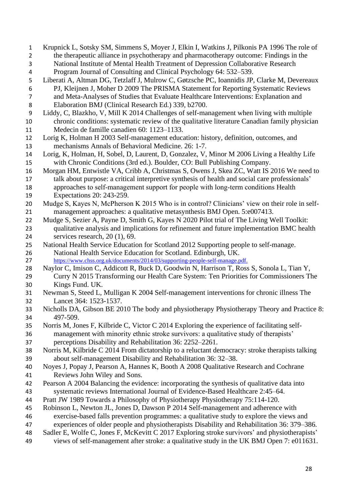Krupnick L, Sotsky SM, Simmens S, Moyer J, Elkin I, Watkins J, Pilkonis PA 1996 The role of the therapeutic alliance in psychotherapy and pharmacotherapy outcome: Findings in the National Institute of Mental Health Treatment of Depression Collaborative Research Program Journal of Consulting and Clinical Psychology 64: 532–539. Liberati A, Altman DG, Tetzlaff J, Mulrow C, Gøtzsche PC, Ioannidis JP, Clarke M, Devereaux PJ, Kleijnen J, Moher D 2009 The PRISMA Statement for Reporting Systematic Reviews and Meta-Analyses of Studies that Evaluate Healthcare Interventions: Explanation and Elaboration BMJ (Clinical Research Ed.) 339, b2700. Liddy, C, Blazkho, V, Mill K 2014 Challenges of self-management when living with multiple chronic conditions: systematic review of the qualitative literature Canadian family physician Medecin de famille canadien 60: 1123–1133. Lorig K, Holman H 2003 Self-management education: history, definition, outcomes, and mechanisms Annals of Behavioral Medicine. 26: 1-7. Lorig, K, Holman, H, Sobel, D, Laurent, D, Gonzalez, V, Minor M 2006 Living a Healthy Life with Chronic Conditions (3rd ed.). Boulder, CO: Bull Publishing Company. Morgan HM, Entwistle VA, Cribb A, Christmas S, Owens J, Skea ZC, Watt IS 2016 We need to talk about purpose: a critical interpretive synthesis of health and social care professionals' approaches to self‐management support for people with long‐term conditions Health Expectations 20: 243-259. Mudge S, Kayes N, McPherson K 2015 Who is in control? Clinicians' view on their role in self- management approaches: a qualitative metasynthesis BMJ Open. 5:e007413. Mudge S, Sezier A, Payne D, Smith G, Kayes N 2020 Pilot trial of The Living Well Toolkit: qualitative analysis and implications for refinement and future implementation BMC health services research, 20 (1), 69. National Health Service Education for Scotland 2012 Supporting people to self-manage. National Health Service Education for Scotland. Edinburgh, UK. [https://www.chss.org.uk/documents/2014/03/supporting-people-self-manage.pdf.](https://www.chss.org.uk/documents/2014/03/supporting-people-self-manage.pdf) Naylor C, Imison C, Addicott R, Buck D, Goodwin N, Harrison T, Ross S, Sonola L, Tian Y, Curry N 2015 Transforming our Health Care System: Ten Priorities for Commissioners The Kings Fund. UK. Newman S, Steed L, Mulligan K 2004 Self-management interventions for chronic illness The Lancet 364: 1523-1537. Nicholls DA, Gibson BE 2010 The body and physiotherapy Physiotherapy Theory and Practice 8: 497-509. Norris M, Jones F, Kilbride C, Victor C 2014 Exploring the experience of facilitating self- management with minority ethnic stroke survivors: a qualitative study of therapists' perceptions Disability and Rehabilitation 36: 2252–2261. Norris M, Kilbride C 2014 From dictatorship to a reluctant democracy: stroke therapists talking about self-management Disability and Rehabilitation 36: 32–38. Noyes J, Popay J, Pearson A, Hannes K, Booth A 2008 Qualitative Research and Cochrane Reviews John Wiley and Sons. Pearson A 2004 Balancing the evidence: incorporating the synthesis of qualitative data into systematic reviews International Journal of Evidence-Based Healthcare 2:45–64. Pratt JW 1989 Towards a Philosophy of Physiotherapy Physiotherapy 75:114-120. Robinson L, Newton JL, Jones D, Dawson P 2014 Self-management and adherence with exercise-based falls prevention programmes: a qualitative study to explore the views and experiences of older people and physiotherapists Disability and Rehabilitation 36: 379–386. Sadler E, Wolfe C, Jones F, McKevitt C 2017 Exploring stroke survivors' and physiotherapists' views of self-management after stroke: a qualitative study in the UK BMJ Open 7: e011631.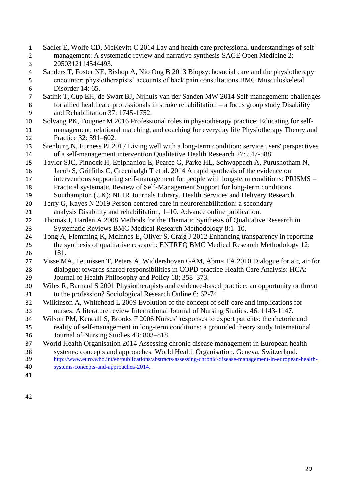- Sadler E, Wolfe CD, McKevitt C 2014 Lay and health care professional understandings of self- management: A systematic review and narrative synthesis SAGE Open Medicine 2: 2050312114544493. Sanders T, Foster NE, Bishop A, Nio Ong B 2013 Biopsychosocial care and the physiotherapy encounter: physiotherapists' accounts of back pain consultations BMC Musculoskeletal Disorder 14: 65. Satink T, Cup EH, de Swart BJ, Nijhuis-van der Sanden MW 2014 Self-management: challenges for allied healthcare professionals in stroke rehabilitation – a focus group study Disability and Rehabilitation 37: 1745-1752. Solvang PK, Fougner M 2016 Professional roles in physiotherapy practice: Educating for self- management, relational matching, and coaching for everyday life Physiotherapy Theory and Practice 32: 591–602. Stenburg N, Furness PJ 2017 Living well with a long-term condition: service users' perspectives of a self-management intervention Qualitative Health Research 27: 547-588. Taylor SJC, Pinnock H, Epiphaniou E, Pearce G, Parke HL, Schwappach A, Purushotham N, Jacob S, Griffiths C, Greenhalgh T et al. 2014 A rapid synthesis of the evidence on interventions supporting self-management for people with long-term conditions: PRISMS – Practical systematic Review of Self-Management Support for long-term conditions. Southampton (UK): NIHR Journals Library. Health Services and Delivery Research. Terry G, Kayes N 2019 Person centered care in neurorehabilitation: a secondary analysis Disability and rehabilitation, 1–10. Advance online publication. Thomas J, Harden A 2008 Methods for the Thematic Synthesis of Qualitative Research in Systematic Reviews BMC Medical Research Methodology 8:1–10. Tong A, Flemming K, McInnes E, Oliver S, Craig J 2012 Enhancing transparency in reporting the synthesis of qualitative research: ENTREQ BMC Medical Research Methodology 12: 181. Visse MA, Teunissen T, Peters A, Widdershoven GAM, Abma TA 2010 Dialogue for air, air for dialogue: towards shared responsibilities in COPD practice Health Care Analysis: HCA: Journal of Health Philosophy and Policy 18: 358–373. Wiles R, Barnard S 2001 Physiotherapists and evidence-based practice: an opportunity or threat to the profession? Sociological Research Online 6: 62-74. Wilkinson A, Whitehead L 2009 Evolution of the concept of self-care and implications for nurses: A literature review International Journal of Nursing Studies. 46: 1143-1147. Wilson PM, Kendall S, Brooks F 2006 Nurses' responses to expert patients: the rhetoric and reality of self-management in long-term conditions: a grounded theory study International Journal of Nursing Studies 43: 803–818. World Health Organisation 2014 Assessing chronic disease management in European health systems: concepts and approaches. World Health Organisation. Geneva, Switzerland. [http://www.euro.who.int/en/publications/abstracts/assessing-chronic-disease-management-in-european-health-](http://www.euro.who.int/en/publications/abstracts/assessing-chronic-disease-management-in-european-health-systems-concepts-and-approaches-2014) [systems-concepts-and-approaches-2014](http://www.euro.who.int/en/publications/abstracts/assessing-chronic-disease-management-in-european-health-systems-concepts-and-approaches-2014).
-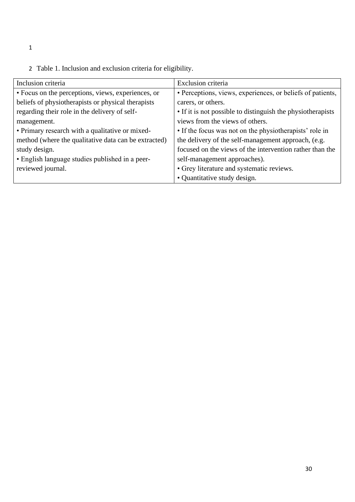- 1
- 2 Table 1. Inclusion and exclusion criteria for eligibility.

| Inclusion criteria                                   | Exclusion criteria                                          |
|------------------------------------------------------|-------------------------------------------------------------|
| • Focus on the perceptions, views, experiences, or   | • Perceptions, views, experiences, or beliefs of patients,  |
| beliefs of physiotherapists or physical therapists   | carers, or others.                                          |
| regarding their role in the delivery of self-        | • If it is not possible to distinguish the physiotherapists |
| management.                                          | views from the views of others.                             |
| • Primary research with a qualitative or mixed-      | • If the focus was not on the physiotherapists' role in     |
| method (where the qualitative data can be extracted) | the delivery of the self-management approach, (e.g.         |
| study design.                                        | focused on the views of the intervention rather than the    |
| • English language studies published in a peer-      | self-management approaches).                                |
| reviewed journal.                                    | • Grey literature and systematic reviews.                   |
|                                                      | • Quantitative study design.                                |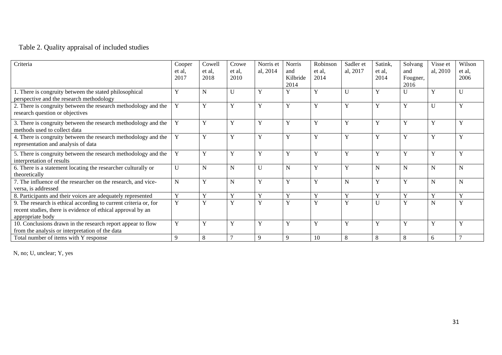# Table 2. Quality appraisal of included studies

| Criteria                                                         | Cooper         | Cowell                  | Crowe        | Norris et    | Norris       | Robinson    | Sadler et               | Satink,     | Solvang     | Visse et     | Wilson                  |
|------------------------------------------------------------------|----------------|-------------------------|--------------|--------------|--------------|-------------|-------------------------|-------------|-------------|--------------|-------------------------|
|                                                                  | et al.         | et al.                  | et al.       | al, 2014     | and          | et al.      | al, 2017                | et al.      | and         | al, 2010     | et al,                  |
|                                                                  | 2017           | 2018                    | 2010         |              | Kilbride     | 2014        |                         | 2014        | Fougner,    |              | 2006                    |
|                                                                  |                |                         |              |              | 2014         |             |                         |             | 2016        |              |                         |
| 1. There is congruity between the stated philosophical           | Y              | N                       |              | Y            | Y            | Y           | $\mathbf{U}$            | Y           |             | Y            | U                       |
| perspective and the research methodology                         |                |                         |              |              |              |             |                         |             |             |              |                         |
| 2. There is congruity between the research methodology and the   | Y              | Y                       | Y            | Y            | Y            | Y           | $\overline{\mathbf{V}}$ | Y           | Y           | $\mathbf{U}$ | $\mathbf{v}$            |
| research question or objectives                                  |                |                         |              |              |              |             |                         |             |             |              |                         |
|                                                                  |                |                         |              |              |              |             |                         |             |             |              |                         |
| 3. There is congruity between the research methodology and the   | $\mathbf Y$    | Y                       | Y            | Y            | Y            | Y           | v                       | $\mathbf Y$ | Y           | Y            | $\mathbf{v}$            |
| methods used to collect data                                     |                |                         |              |              |              |             |                         |             |             |              |                         |
| 4. There is congruity between the research methodology and the   | Y              | Y                       | Y            | Y            | Y            | Y           | Y                       | Y           | Y           | Y            | $\mathbf{v}$            |
| representation and analysis of data                              |                |                         |              |              |              |             |                         |             |             |              |                         |
| 5. There is congruity between the research methodology and the   | Y              | Y                       | Y            | Y            | Y            | Y           | Y                       | Y           | Y           | Y            | $\mathbf{v}$            |
| interpretation of results                                        |                |                         |              |              |              |             |                         |             |             |              |                         |
| 6. There is a statement locating the researcher culturally or    | U              | N                       | N            | $\mathbf{U}$ | $\mathbf N$  | Y           | Y                       | N           | N           | N            | N                       |
| theoretically                                                    |                |                         |              |              |              |             |                         |             |             |              |                         |
| 7. The influence of the researcher on the research, and vice-    | $\mathbf N$    | Y                       | $\mathbf N$  | Y            | Y            | Y           | N                       | Y           | Y           | N            | N                       |
| versa, is addressed                                              |                |                         |              |              |              |             |                         |             |             |              |                         |
| 8. Participants and their voices are adequately represented      | $\mathbf Y$    | Y                       | Y            | Y            | Y            | $\mathbf Y$ | $\mathbf{v}$            | Y           | $\mathbf Y$ | Y            | $\mathbf{v}$            |
| 9. The research is ethical according to current criteria or, for | $\overline{Y}$ | $\overline{\mathbf{v}}$ | $\mathbf{V}$ | Y            | $\mathbf{V}$ | Y           | $\overline{r}$          | U           | Y           | N            | $\overline{\mathbf{x}}$ |
|                                                                  |                |                         |              |              |              |             |                         |             |             |              |                         |
| recent studies, there is evidence of ethical approval by an      |                |                         |              |              |              |             |                         |             |             |              |                         |
| appropriate body                                                 |                |                         |              |              |              |             |                         |             |             |              |                         |
| 10. Conclusions drawn in the research report appear to flow      | Y              | Y                       | Y            | Y            | Y            | Y           | Y                       | Y           | Y           | Y            | Y                       |
| from the analysis or interpretation of the data                  |                |                         |              |              |              |             |                         |             |             |              |                         |
| Total number of items with Y response                            | 9              | 8                       |              | 9            | 9            | 10          | 8                       | 8           | 8           | 6            |                         |

N, no; U, unclear; Y, yes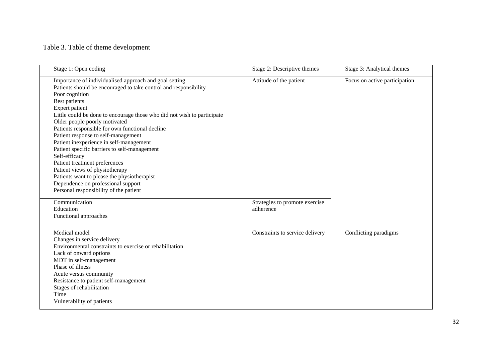## Table 3. Table of theme development

| Stage 1: Open coding                                                                                                                                                                                                                                                                                                                                                                                                                                                                                                                                                                                                                                                                                | Stage 2: Descriptive themes                 | Stage 3: Analytical themes    |
|-----------------------------------------------------------------------------------------------------------------------------------------------------------------------------------------------------------------------------------------------------------------------------------------------------------------------------------------------------------------------------------------------------------------------------------------------------------------------------------------------------------------------------------------------------------------------------------------------------------------------------------------------------------------------------------------------------|---------------------------------------------|-------------------------------|
| Importance of individualised approach and goal setting<br>Patients should be encouraged to take control and responsibility<br>Poor cognition<br>Best patients<br>Expert patient<br>Little could be done to encourage those who did not wish to participate<br>Older people poorly motivated<br>Patients responsible for own functional decline<br>Patient response to self-management<br>Patient inexperience in self-management<br>Patient specific barriers to self-management<br>Self-efficacy<br>Patient treatment preferences<br>Patient views of physiotherapy<br>Patients want to please the physiotherapist<br>Dependence on professional support<br>Personal responsibility of the patient | Attitude of the patient                     | Focus on active participation |
| Communication<br>Education<br>Functional approaches                                                                                                                                                                                                                                                                                                                                                                                                                                                                                                                                                                                                                                                 | Strategies to promote exercise<br>adherence |                               |
| Medical model<br>Changes in service delivery<br>Environmental constraints to exercise or rehabilitation<br>Lack of onward options<br>MDT in self-management<br>Phase of illness<br>Acute versus community<br>Resistance to patient self-management<br>Stages of rehabilitation<br>Time<br>Vulnerability of patients                                                                                                                                                                                                                                                                                                                                                                                 | Constraints to service delivery             | Conflicting paradigms         |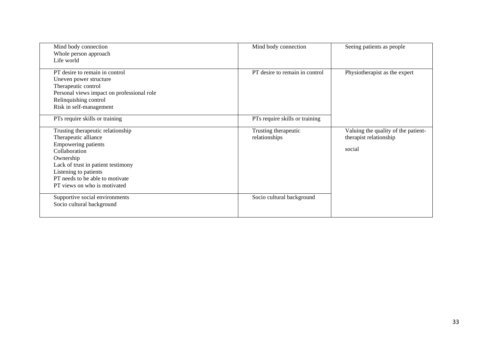| Mind body connection                       | Mind body connection           | Seeing patients as people           |  |
|--------------------------------------------|--------------------------------|-------------------------------------|--|
| Whole person approach<br>Life world        |                                |                                     |  |
| PT desire to remain in control             | PT desire to remain in control | Physiotherapist as the expert       |  |
| Uneven power structure                     |                                |                                     |  |
| Therapeutic control                        |                                |                                     |  |
| Personal views impact on professional role |                                |                                     |  |
| Relinquishing control                      |                                |                                     |  |
| Risk in self-management                    |                                |                                     |  |
| PTs require skills or training             | PTs require skills or training |                                     |  |
| Trusting therapeutic relationship          | Trusting therapeutic           | Valuing the quality of the patient- |  |
| Therapeutic alliance                       | relationships                  | therapist relationship              |  |
| <b>Empowering patients</b>                 |                                |                                     |  |
| Collaboration                              |                                | social                              |  |
| Ownership                                  |                                |                                     |  |
| Lack of trust in patient testimony         |                                |                                     |  |
| Listening to patients                      |                                |                                     |  |
| PT needs to be able to motivate            |                                |                                     |  |
| PT views on who is motivated               |                                |                                     |  |
| Supportive social environments             | Socio cultural background      |                                     |  |
| Socio cultural background                  |                                |                                     |  |
|                                            |                                |                                     |  |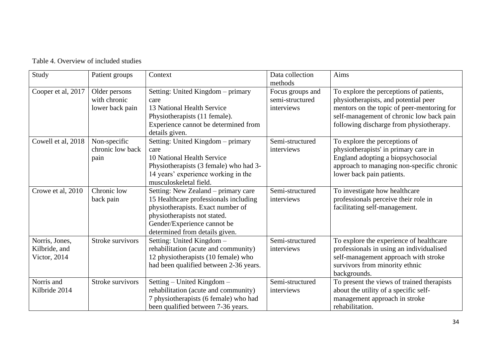| Study                                           | Patient groups                                   | Context                                                                                                                                                                                                            | Data collection<br>methods                        | Aims                                                                                                                                                                                                                 |
|-------------------------------------------------|--------------------------------------------------|--------------------------------------------------------------------------------------------------------------------------------------------------------------------------------------------------------------------|---------------------------------------------------|----------------------------------------------------------------------------------------------------------------------------------------------------------------------------------------------------------------------|
| Cooper et al, 2017                              | Older persons<br>with chronic<br>lower back pain | Setting: United Kingdom - primary<br>care<br>13 National Health Service<br>Physiotherapists (11 female).<br>Experience cannot be determined from<br>details given.                                                 | Focus groups and<br>semi-structured<br>interviews | To explore the perceptions of patients,<br>physiotherapists, and potential peer<br>mentors on the topic of peer-mentoring for<br>self-management of chronic low back pain<br>following discharge from physiotherapy. |
| Cowell et al, 2018                              | Non-specific<br>chronic low back<br>pain         | Setting: United Kingdom - primary<br>care<br>10 National Health Service<br>Physiotherapists (3 female) who had 3-<br>14 years' experience working in the<br>musculoskeletal field.                                 | Semi-structured<br>interviews                     | To explore the perceptions of<br>physiotherapists' in primary care in<br>England adopting a biopsychosocial<br>approach to managing non-specific chronic<br>lower back pain patients.                                |
| Crowe et al, 2010                               | Chronic low<br>back pain                         | Setting: New Zealand – primary care<br>15 Healthcare professionals including<br>physiotherapists. Exact number of<br>physiotherapists not stated.<br>Gender/Experience cannot be<br>determined from details given. | Semi-structured<br>interviews                     | To investigate how healthcare<br>professionals perceive their role in<br>facilitating self-management.                                                                                                               |
| Norris, Jones,<br>Kilbride, and<br>Victor, 2014 | Stroke survivors                                 | Setting: United Kingdom -<br>rehabilitation (acute and community)<br>12 physiotherapists (10 female) who<br>had been qualified between 2-36 years.                                                                 | Semi-structured<br>interviews                     | To explore the experience of healthcare<br>professionals in using an individualised<br>self-management approach with stroke<br>survivors from minority ethnic<br>backgrounds.                                        |
| Norris and<br>Kilbride 2014                     | Stroke survivors                                 | Setting – United Kingdom –<br>rehabilitation (acute and community)<br>7 physiotherapists (6 female) who had<br>been qualified between 7-36 years.                                                                  | Semi-structured<br>interviews                     | To present the views of trained therapists<br>about the utility of a specific self-<br>management approach in stroke<br>rehabilitation.                                                                              |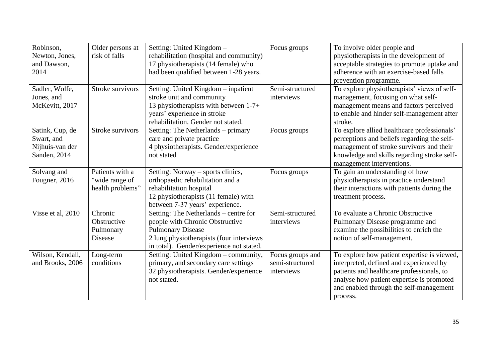| Robinson,<br>Newton, Jones,<br>and Dawson,<br>2014               | Older persons at<br>risk of falls                     | Setting: United Kingdom -<br>rehabilitation (hospital and community)<br>17 physiotherapists (14 female) who<br>had been qualified between 1-28 years.                                         | Focus groups                                      | To involve older people and<br>physiotherapists in the development of<br>acceptable strategies to promote uptake and<br>adherence with an exercise-based falls<br>prevention programme.                                                 |
|------------------------------------------------------------------|-------------------------------------------------------|-----------------------------------------------------------------------------------------------------------------------------------------------------------------------------------------------|---------------------------------------------------|-----------------------------------------------------------------------------------------------------------------------------------------------------------------------------------------------------------------------------------------|
| Sadler, Wolfe,<br>Jones, and<br>McKevitt, 2017                   | Stroke survivors                                      | Setting: United Kingdom - inpatient<br>stroke unit and community<br>13 physiotherapists with between 1-7+<br>years' experience in stroke<br>rehabilitation. Gender not stated.                | Semi-structured<br>interviews                     | To explore physiotherapists' views of self-<br>management, focusing on what self-<br>management means and factors perceived<br>to enable and hinder self-management after<br>stroke.                                                    |
| Satink, Cup, de<br>Swart, and<br>Nijhuis-van der<br>Sanden, 2014 | Stroke survivors                                      | Setting: The Netherlands - primary<br>care and private practice<br>4 physiotherapists. Gender/experience<br>not stated                                                                        | Focus groups                                      | To explore allied healthcare professionals'<br>perceptions and beliefs regarding the self-<br>management of stroke survivors and their<br>knowledge and skills regarding stroke self-<br>management interventions.                      |
| Solvang and<br>Fougner, 2016                                     | Patients with a<br>"wide range of<br>health problems" | Setting: Norway – sports clinics,<br>orthopaedic rehabilitation and a<br>rehabilitation hospital<br>12 physiotherapists (11 female) with<br>between 7-37 years' experience.                   | Focus groups                                      | To gain an understanding of how<br>physiotherapists in practice understand<br>their interactions with patients during the<br>treatment process.                                                                                         |
| Visse et al, 2010                                                | Chronic<br>Obstructive<br>Pulmonary<br>Disease        | Setting: The Netherlands – centre for<br>people with Chronic Obstructive<br><b>Pulmonary Disease</b><br>2 lung physiotherapists (four interviews)<br>in total). Gender/experience not stated. | Semi-structured<br>interviews                     | To evaluate a Chronic Obstructive<br>Pulmonary Disease programme and<br>examine the possibilities to enrich the<br>notion of self-management.                                                                                           |
| Wilson, Kendall,<br>and Brooks, 2006                             | Long-term<br>conditions                               | Setting: United Kingdom - community,<br>primary, and secondary care settings<br>32 physiotherapists. Gender/experience<br>not stated.                                                         | Focus groups and<br>semi-structured<br>interviews | To explore how patient expertise is viewed,<br>interpreted, defined and experienced by<br>patients and healthcare professionals, to<br>analyse how patient expertise is promoted<br>and enabled through the self-management<br>process. |